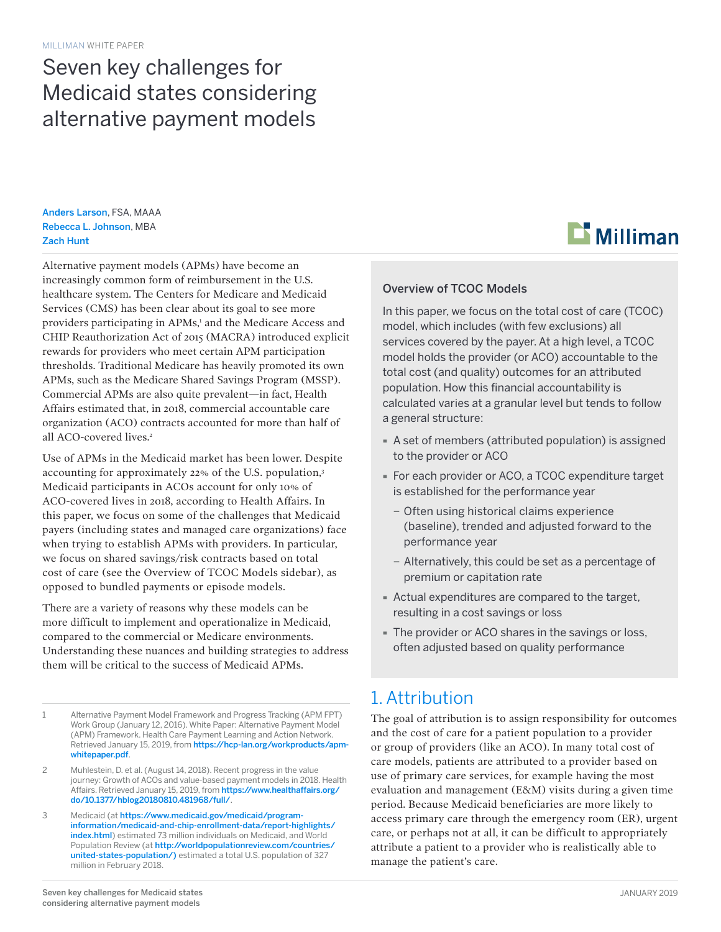# Seven key challenges for Medicaid states considering alternative payment models

Anders Larson, FSA, MAAA Rebecca L. Johnson, MBA Zach Hunt

Alternative payment models (APMs) have become an increasingly common form of reimbursement in the U.S. healthcare system. The Centers for Medicare and Medicaid Services (CMS) has been clear about its goal to see more providers participating in APMs,<sup>1</sup> and the Medicare Access and CHIP Reauthorization Act of 2015 (MACRA) introduced explicit rewards for providers who meet certain APM participation thresholds. Traditional Medicare has heavily promoted its own APMs, such as the Medicare Shared Savings Program (MSSP). Commercial APMs are also quite prevalent—in fact, Health Affairs estimated that, in 2018, commercial accountable care organization (ACO) contracts accounted for more than half of all ACO-covered lives.<sup>2</sup>

Use of APMs in the Medicaid market has been lower. Despite accounting for approximately 22% of the U.S. population,3 Medicaid participants in ACOs account for only 10% of ACO-covered lives in 2018, according to Health Affairs. In this paper, we focus on some of the challenges that Medicaid payers (including states and managed care organizations) face when trying to establish APMs with providers. In particular, we focus on shared savings/risk contracts based on total cost of care (see the Overview of TCOC Models sidebar), as opposed to bundled payments or episode models.

There are a variety of reasons why these models can be more difficult to implement and operationalize in Medicaid, compared to the commercial or Medicare environments. Understanding these nuances and building strategies to address them will be critical to the success of Medicaid APMs.

- 1 Alternative Payment Model Framework and Progress Tracking (APM FPT) Work Group (January 12, 2016). White Paper: Alternative Payment Model (APM) Framework. Health Care Payment Learning and Action Network. Retrieved January 15, 2019, from [https://hcp-lan.org/workproducts/apm](https://hcp-lan.org/workproducts/apm-whitepaper.pdf)[whitepaper.pdf](https://hcp-lan.org/workproducts/apm-whitepaper.pdf).
- 2 Muhlestein, D. et al. (August 14, 2018). Recent progress in the value journey: Growth of ACOs and value-based payment models in 2018. Health Affairs. Retrieved January 15, 2019, from [https://www.healthaffairs.org/](https://www.healthaffairs.org/do/10.1377/hblog20180810.481968/full/) [do/10.1377/hblog20180810.481968/full/](https://www.healthaffairs.org/do/10.1377/hblog20180810.481968/full/).
- 3 Medicaid (at [https://www.medicaid.gov/medicaid/program](https://www.medicaid.gov/medicaid/program-information/medicaid-and-chip-enrollment-data/report-highlights/index.html)[information/medicaid-and-chip-enrollment-data/report-highlights/](https://www.medicaid.gov/medicaid/program-information/medicaid-and-chip-enrollment-data/report-highlights/index.html) [index.html](https://www.medicaid.gov/medicaid/program-information/medicaid-and-chip-enrollment-data/report-highlights/index.html)) estimated 73 million individuals on Medicaid, and World Population Review (at [http://worldpopulationreview.com/countries/](http://worldpopulationreview.com/countries/united-states-population/) [united-states-population/\)](http://worldpopulationreview.com/countries/united-states-population/) estimated a total U.S. population of 327 million in February 2018.



#### Overview of TCOC Models

In this paper, we focus on the total cost of care (TCOC) model, which includes (with few exclusions) all services covered by the payer. At a high level, a TCOC model holds the provider (or ACO) accountable to the total cost (and quality) outcomes for an attributed population. How this financial accountability is calculated varies at a granular level but tends to follow a general structure:

- · A set of members (attributed population) is assigned to the provider or ACO
- · For each provider or ACO, a TCOC expenditure target is established for the performance year
	- − Often using historical claims experience (baseline), trended and adjusted forward to the performance year
	- − Alternatively, this could be set as a percentage of premium or capitation rate
- · Actual expenditures are compared to the target, resulting in a cost savings or loss
- · The provider or ACO shares in the savings or loss, often adjusted based on quality performance

### 1. Attribution

The goal of attribution is to assign responsibility for outcomes and the cost of care for a patient population to a provider or group of providers (like an ACO). In many total cost of care models, patients are attributed to a provider based on use of primary care services, for example having the most evaluation and management (E&M) visits during a given time period. Because Medicaid beneficiaries are more likely to access primary care through the emergency room (ER), urgent care, or perhaps not at all, it can be difficult to appropriately attribute a patient to a provider who is realistically able to manage the patient's care.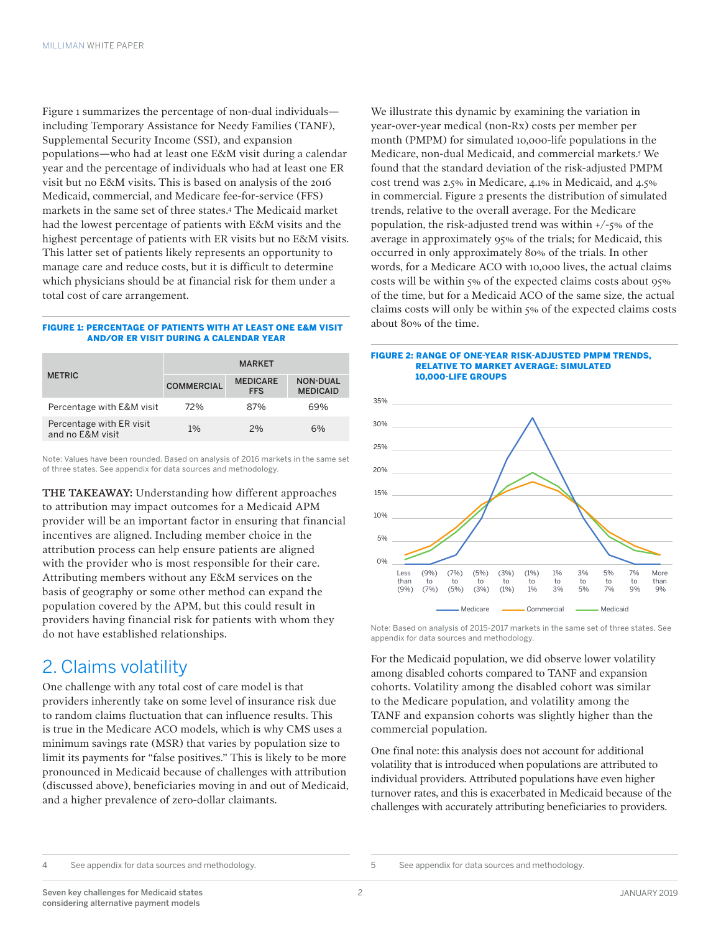Figure 1 summarizes the percentage of non-dual individuals including Temporary Assistance for Needy Families (TANF), Supplemental Security Income (SSI), and expansion populations—who had at least one E&M visit during a calendar year and the percentage of individuals who had at least one ER visit but no E&M visits. This is based on analysis of the 2016 Medicaid, commercial, and Medicare fee-for-service (FFS) markets in the same set of three states.4 The Medicaid market had the lowest percentage of patients with E&M visits and the highest percentage of patients with ER visits but no E&M visits. This latter set of patients likely represents an opportunity to manage care and reduce costs, but it is difficult to determine which physicians should be at financial risk for them under a total cost of care arrangement.

#### FIGURE 1: PERCENTAGE OF PATIENTS WITH AT LEAST ONE E&M VISIT AND/OR ER VISIT DURING A CALENDAR YEAR

| <b>METRIC</b>                                | <b>MARKET</b>     |                               |                                    |
|----------------------------------------------|-------------------|-------------------------------|------------------------------------|
|                                              | <b>COMMERCIAL</b> | <b>MEDICARE</b><br><b>FFS</b> | <b>NON-DUAL</b><br><b>MEDICAID</b> |
| Percentage with E&M visit                    | 72%               | 87%                           | 69%                                |
| Percentage with ER visit<br>and no E&M visit | 1%                | 2%                            | 6%                                 |

Note: Values have been rounded. Based on analysis of 2016 markets in the same set of three states. See appendix for data sources and methodology.

THE TAKEAWAY: Understanding how different approaches to attribution may impact outcomes for a Medicaid APM provider will be an important factor in ensuring that financial incentives are aligned. Including member choice in the attribution process can help ensure patients are aligned with the provider who is most responsible for their care. Attributing members without any E&M services on the basis of geography or some other method can expand the population covered by the APM, but this could result in providers having financial risk for patients with whom they do not have established relationships.

### 2. Claims volatility

One challenge with any total cost of care model is that providers inherently take on some level of insurance risk due to random claims fluctuation that can influence results. This is true in the Medicare ACO models, which is why CMS uses a minimum savings rate (MSR) that varies by population size to limit its payments for "false positives." This is likely to be more pronounced in Medicaid because of challenges with attribution (discussed above), beneficiaries moving in and out of Medicaid, and a higher prevalence of zero-dollar claimants.

We illustrate this dynamic by examining the variation in year-over-year medical (non-Rx) costs per member per month (PMPM) for simulated 10,000-life populations in the Medicare, non-dual Medicaid, and commercial markets.5 We found that the standard deviation of the risk-adjusted PMPM cost trend was 2.5% in Medicare, 4.1% in Medicaid, and 4.5% in commercial. Figure 2 presents the distribution of simulated trends, relative to the overall average. For the Medicare population, the risk-adjusted trend was within +/-5% of the average in approximately 95% of the trials; for Medicaid, this occurred in only approximately 80% of the trials. In other words, for a Medicare ACO with 10,000 lives, the actual claims costs will be within 5% of the expected claims costs about 95% of the time, but for a Medicaid ACO of the same size, the actual claims costs will only be within 5% of the expected claims costs about 80% of the time.

#### FIGURE 2: RANGE OF ONE-YEAR RISK-ADJUSTED PMPM TRENDS, RELATIVE TO MARKET AVERAGE: SIMULATED 10,000-LIFE GROUPS



Note: Based on analysis of 2015-2017 markets in the same set of three states. See appendix for data sources and methodology.

For the Medicaid population, we did observe lower volatility among disabled cohorts compared to TANF and expansion cohorts. Volatility among the disabled cohort was similar to the Medicare population, and volatility among the TANF and expansion cohorts was slightly higher than the commercial population.

One final note: this analysis does not account for additional volatility that is introduced when populations are attributed to individual providers. Attributed populations have even higher turnover rates, and this is exacerbated in Medicaid because of the challenges with accurately attributing beneficiaries to providers.

4 See appendix for data sources and methodology.

```
5 See appendix for data sources and methodology.
```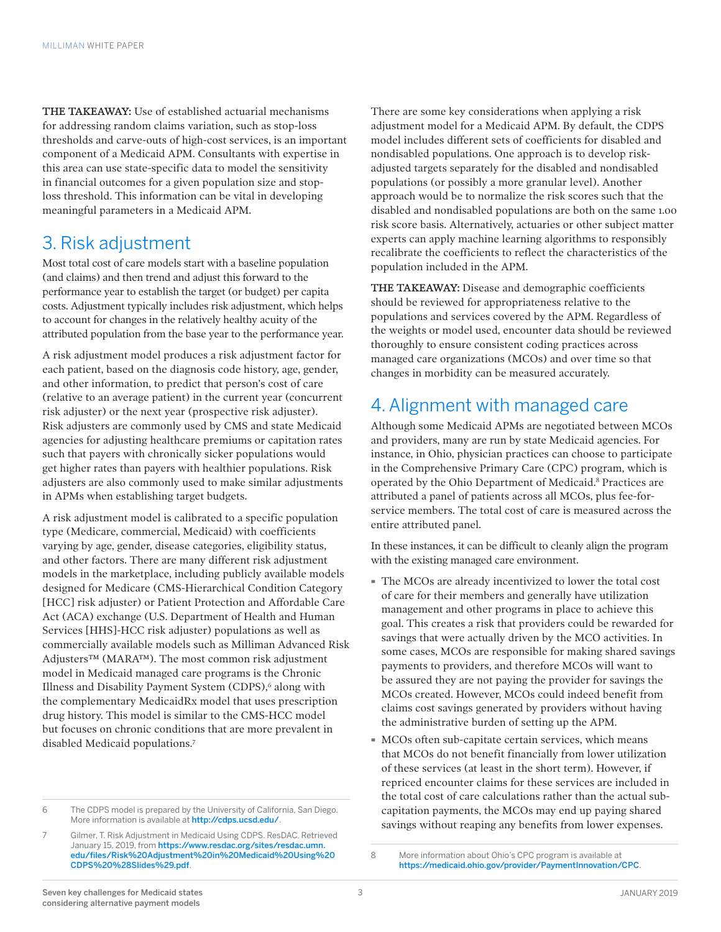THE TAKEAWAY: Use of established actuarial mechanisms for addressing random claims variation, such as stop-loss thresholds and carve-outs of high-cost services, is an important component of a Medicaid APM. Consultants with expertise in this area can use state-specific data to model the sensitivity in financial outcomes for a given population size and stoploss threshold. This information can be vital in developing meaningful parameters in a Medicaid APM.

# 3. Risk adjustment

Most total cost of care models start with a baseline population (and claims) and then trend and adjust this forward to the performance year to establish the target (or budget) per capita costs. Adjustment typically includes risk adjustment, which helps to account for changes in the relatively healthy acuity of the attributed population from the base year to the performance year.

A risk adjustment model produces a risk adjustment factor for each patient, based on the diagnosis code history, age, gender, and other information, to predict that person's cost of care (relative to an average patient) in the current year (concurrent risk adjuster) or the next year (prospective risk adjuster). Risk adjusters are commonly used by CMS and state Medicaid agencies for adjusting healthcare premiums or capitation rates such that payers with chronically sicker populations would get higher rates than payers with healthier populations. Risk adjusters are also commonly used to make similar adjustments in APMs when establishing target budgets.

A risk adjustment model is calibrated to a specific population type (Medicare, commercial, Medicaid) with coefficients varying by age, gender, disease categories, eligibility status, and other factors. There are many different risk adjustment models in the marketplace, including publicly available models designed for Medicare (CMS-Hierarchical Condition Category [HCC] risk adjuster) or Patient Protection and Affordable Care Act (ACA) exchange (U.S. Department of Health and Human Services [HHS]-HCC risk adjuster) populations as well as commercially available models such as Milliman Advanced Risk Adjusters™ (MARA™). The most common risk adjustment model in Medicaid managed care programs is the Chronic Illness and Disability Payment System (CDPS),<sup>6</sup> along with the complementary MedicaidRx model that uses prescription drug history. This model is similar to the CMS-HCC model but focuses on chronic conditions that are more prevalent in disabled Medicaid populations.7

There are some key considerations when applying a risk adjustment model for a Medicaid APM. By default, the CDPS model includes different sets of coefficients for disabled and nondisabled populations. One approach is to develop riskadjusted targets separately for the disabled and nondisabled populations (or possibly a more granular level). Another approach would be to normalize the risk scores such that the disabled and nondisabled populations are both on the same 1.00 risk score basis. Alternatively, actuaries or other subject matter experts can apply machine learning algorithms to responsibly recalibrate the coefficients to reflect the characteristics of the population included in the APM.

THE TAKEAWAY: Disease and demographic coefficients should be reviewed for appropriateness relative to the populations and services covered by the APM. Regardless of the weights or model used, encounter data should be reviewed thoroughly to ensure consistent coding practices across managed care organizations (MCOs) and over time so that changes in morbidity can be measured accurately.

## 4. Alignment with managed care

Although some Medicaid APMs are negotiated between MCOs and providers, many are run by state Medicaid agencies. For instance, in Ohio, physician practices can choose to participate in the Comprehensive Primary Care (CPC) program, which is operated by the Ohio Department of Medicaid.8 Practices are attributed a panel of patients across all MCOs, plus fee-forservice members. The total cost of care is measured across the entire attributed panel.

In these instances, it can be difficult to cleanly align the program with the existing managed care environment.

- · The MCOs are already incentivized to lower the total cost of care for their members and generally have utilization management and other programs in place to achieve this goal. This creates a risk that providers could be rewarded for savings that were actually driven by the MCO activities. In some cases, MCOs are responsible for making shared savings payments to providers, and therefore MCOs will want to be assured they are not paying the provider for savings the MCOs created. However, MCOs could indeed benefit from claims cost savings generated by providers without having the administrative burden of setting up the APM.
- · MCOs often sub-capitate certain services, which means that MCOs do not benefit financially from lower utilization of these services (at least in the short term). However, if repriced encounter claims for these services are included in the total cost of care calculations rather than the actual subcapitation payments, the MCOs may end up paying shared savings without reaping any benefits from lower expenses.

<sup>6</sup> The CDPS model is prepared by the University of California, San Diego. More information is available at <http://cdps.ucsd.edu/>.

<sup>7</sup> Gilmer, T. Risk Adjustment in Medicaid Using CDPS. ResDAC. Retrieved January 15, 2019, from [https://www.resdac.org/sites/resdac.umn.](https://www.resdac.org/sites/resdac.umn.edu/files/Risk%20Adjustment%20in%20Medicaid%20Using%20CDPS%20%28Slides%29.pdf) [edu/files/Risk%20Adjustment%20in%20Medicaid%20Using%20](https://www.resdac.org/sites/resdac.umn.edu/files/Risk%20Adjustment%20in%20Medicaid%20Using%20CDPS%20%28Slides%29.pdf) [CDPS%20%28Slides%29.pdf](https://www.resdac.org/sites/resdac.umn.edu/files/Risk%20Adjustment%20in%20Medicaid%20Using%20CDPS%20%28Slides%29.pdf).

<sup>8</sup> More information about Ohio's CPC program is available at <https://medicaid.ohio.gov/provider/PaymentInnovation/CPC>.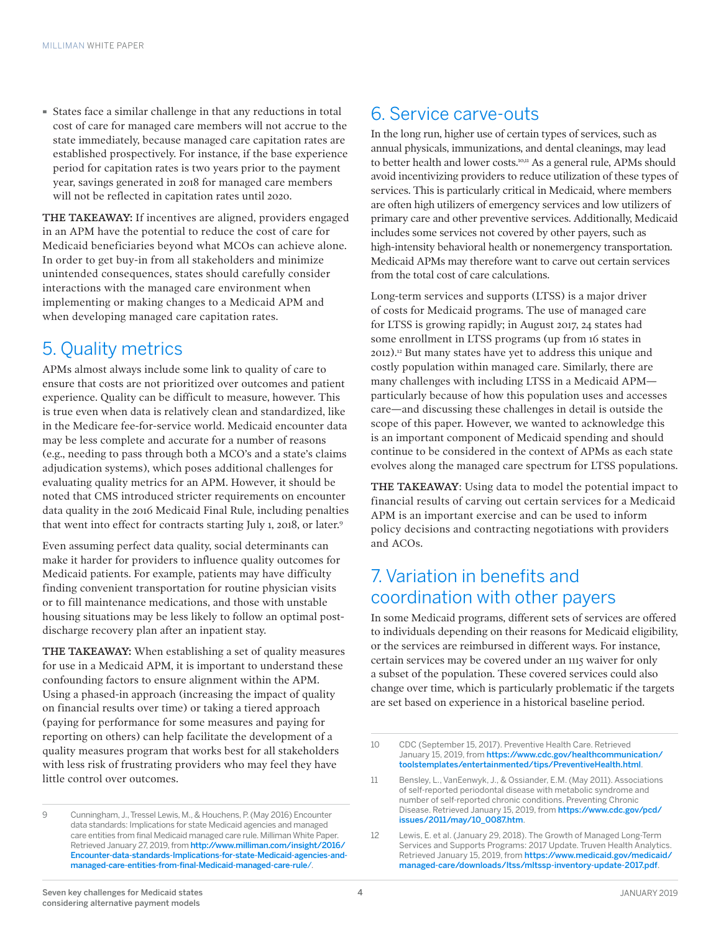· States face a similar challenge in that any reductions in total cost of care for managed care members will not accrue to the state immediately, because managed care capitation rates are established prospectively. For instance, if the base experience period for capitation rates is two years prior to the payment year, savings generated in 2018 for managed care members will not be reflected in capitation rates until 2020.

THE TAKEAWAY: If incentives are aligned, providers engaged in an APM have the potential to reduce the cost of care for Medicaid beneficiaries beyond what MCOs can achieve alone. In order to get buy-in from all stakeholders and minimize unintended consequences, states should carefully consider interactions with the managed care environment when implementing or making changes to a Medicaid APM and when developing managed care capitation rates.

### 5. Quality metrics

APMs almost always include some link to quality of care to ensure that costs are not prioritized over outcomes and patient experience. Quality can be difficult to measure, however. This is true even when data is relatively clean and standardized, like in the Medicare fee-for-service world. Medicaid encounter data may be less complete and accurate for a number of reasons (e.g., needing to pass through both a MCO's and a state's claims adjudication systems), which poses additional challenges for evaluating quality metrics for an APM. However, it should be noted that CMS introduced stricter requirements on encounter data quality in the 2016 Medicaid Final Rule, including penalties that went into effect for contracts starting July 1, 2018, or later.9

Even assuming perfect data quality, social determinants can make it harder for providers to influence quality outcomes for Medicaid patients. For example, patients may have difficulty finding convenient transportation for routine physician visits or to fill maintenance medications, and those with unstable housing situations may be less likely to follow an optimal postdischarge recovery plan after an inpatient stay.

THE TAKEAWAY: When establishing a set of quality measures for use in a Medicaid APM, it is important to understand these confounding factors to ensure alignment within the APM. Using a phased-in approach (increasing the impact of quality on financial results over time) or taking a tiered approach (paying for performance for some measures and paying for reporting on others) can help facilitate the development of a quality measures program that works best for all stakeholders with less risk of frustrating providers who may feel they have little control over outcomes.

# 6. Service carve-outs

In the long run, higher use of certain types of services, such as annual physicals, immunizations, and dental cleanings, may lead to better health and lower costs.<sup>10,11</sup> As a general rule, APMs should avoid incentivizing providers to reduce utilization of these types of services. This is particularly critical in Medicaid, where members are often high utilizers of emergency services and low utilizers of primary care and other preventive services. Additionally, Medicaid includes some services not covered by other payers, such as high-intensity behavioral health or nonemergency transportation. Medicaid APMs may therefore want to carve out certain services from the total cost of care calculations.

Long-term services and supports (LTSS) is a major driver of costs for Medicaid programs. The use of managed care for LTSS is growing rapidly; in August 2017, 24 states had some enrollment in LTSS programs (up from 16 states in 2012).12 But many states have yet to address this unique and costly population within managed care. Similarly, there are many challenges with including LTSS in a Medicaid APM particularly because of how this population uses and accesses care—and discussing these challenges in detail is outside the scope of this paper. However, we wanted to acknowledge this is an important component of Medicaid spending and should continue to be considered in the context of APMs as each state evolves along the managed care spectrum for LTSS populations.

THE TAKEAWAY: Using data to model the potential impact to financial results of carving out certain services for a Medicaid APM is an important exercise and can be used to inform policy decisions and contracting negotiations with providers and ACOs.

### 7. Variation in benefits and coordination with other payers

In some Medicaid programs, different sets of services are offered to individuals depending on their reasons for Medicaid eligibility, or the services are reimbursed in different ways. For instance, certain services may be covered under an 1115 waiver for only a subset of the population. These covered services could also change over time, which is particularly problematic if the targets are set based on experience in a historical baseline period.

<sup>9</sup> Cunningham, J., Tressel Lewis, M., & Houchens, P. (May 2016) Encounter data standards: Implications for state Medicaid agencies and managed care entities from final Medicaid managed care rule. Milliman White Paper. Retrieved January 27, 2019, from [http://www.milliman.com/insight/2016/](http://www.milliman.com/insight/2016/Encounter-data-standards-Implications-for-state-Medicaid-agencies-and-managed-care-entities-from-final-Medicaid-managed-care-rule/) [Encounter-data-standards-Implications-for-state-Medicaid-agencies-and](http://www.milliman.com/insight/2016/Encounter-data-standards-Implications-for-state-Medicaid-agencies-and-managed-care-entities-from-final-Medicaid-managed-care-rule/)[managed-care-entities-from-final-Medicaid-managed-care-rule](http://www.milliman.com/insight/2016/Encounter-data-standards-Implications-for-state-Medicaid-agencies-and-managed-care-entities-from-final-Medicaid-managed-care-rule/)/.

<sup>10</sup> CDC (September 15, 2017). Preventive Health Care. Retrieved January 15, 2019, from [https://www.cdc.gov/healthcommunication/](https://www.cdc.gov/healthcommunication/toolstemplates/entertainmented/tips/PreventiveHealth.html) [toolstemplates/entertainmented/tips/PreventiveHealth.html](https://www.cdc.gov/healthcommunication/toolstemplates/entertainmented/tips/PreventiveHealth.html).

<sup>11</sup> Bensley, L., VanEenwyk, J., & Ossiander, E.M. (May 2011). Associations of self-reported periodontal disease with metabolic syndrome and number of self-reported chronic conditions. Preventing Chronic Disease. Retrieved January 15, 2019, from [https://www.cdc.gov/pcd/](https://www.cdc.gov/pcd/issues/2011/may/10_0087.htm) [issues/2011/may/10\\_0087.htm](https://www.cdc.gov/pcd/issues/2011/may/10_0087.htm).

<sup>12</sup> Lewis, E. et al. (January 29, 2018). The Growth of Managed Long-Term Services and Supports Programs: 2017 Update. Truven Health Analytics. Retrieved January 15, 2019, from [https://www.medicaid.gov/medicaid/](https://www.medicaid.gov/medicaid/managed-care/downloads/ltss/mltssp-inventory-update-2017.pdf) [managed-care/downloads/ltss/mltssp-inventory-update-2017.pdf](https://www.medicaid.gov/medicaid/managed-care/downloads/ltss/mltssp-inventory-update-2017.pdf).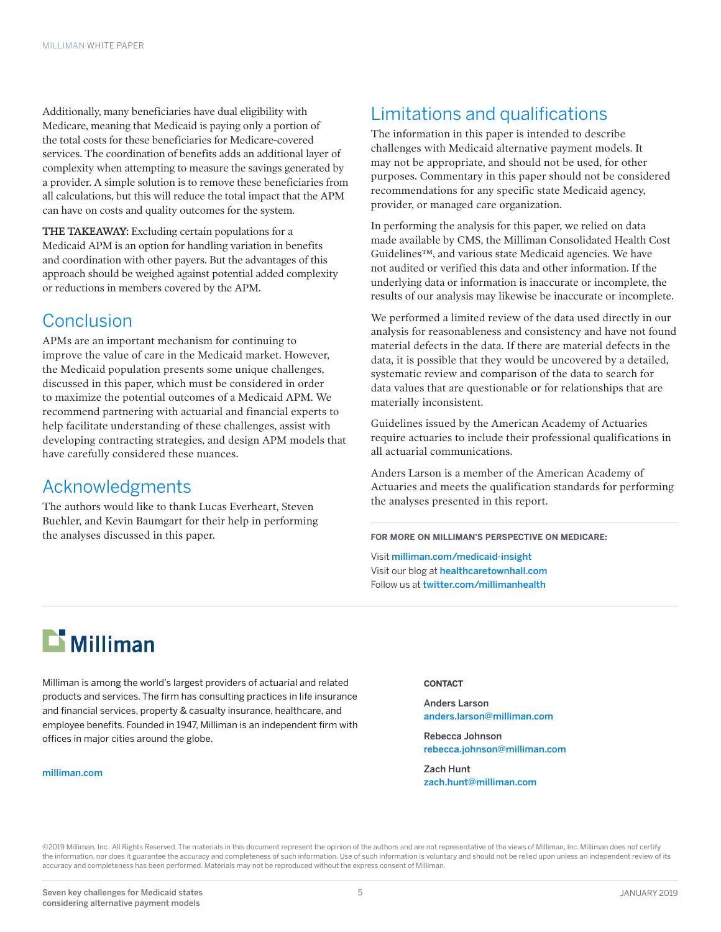Additionally, many beneficiaries have dual eligibility with Medicare, meaning that Medicaid is paying only a portion of the total costs for these beneficiaries for Medicare-covered services. The coordination of benefits adds an additional layer of complexity when attempting to measure the savings generated by a provider. A simple solution is to remove these beneficiaries from all calculations, but this will reduce the total impact that the APM can have on costs and quality outcomes for the system.

THE TAKEAWAY: Excluding certain populations for a Medicaid APM is an option for handling variation in benefits and coordination with other payers. But the advantages of this approach should be weighed against potential added complexity or reductions in members covered by the APM.

### **Conclusion**

APMs are an important mechanism for continuing to improve the value of care in the Medicaid market. However, the Medicaid population presents some unique challenges, discussed in this paper, which must be considered in order to maximize the potential outcomes of a Medicaid APM. We recommend partnering with actuarial and financial experts to help facilitate understanding of these challenges, assist with developing contracting strategies, and design APM models that have carefully considered these nuances.

### Acknowledgments

The authors would like to thank Lucas Everheart, Steven Buehler, and Kevin Baumgart for their help in performing the analyses discussed in this paper.

# Limitations and qualifications

The information in this paper is intended to describe challenges with Medicaid alternative payment models. It may not be appropriate, and should not be used, for other purposes. Commentary in this paper should not be considered recommendations for any specific state Medicaid agency, provider, or managed care organization.

In performing the analysis for this paper, we relied on data made available by CMS, the Milliman Consolidated Health Cost Guidelines™, and various state Medicaid agencies. We have not audited or verified this data and other information. If the underlying data or information is inaccurate or incomplete, the results of our analysis may likewise be inaccurate or incomplete.

We performed a limited review of the data used directly in our analysis for reasonableness and consistency and have not found material defects in the data. If there are material defects in the data, it is possible that they would be uncovered by a detailed, systematic review and comparison of the data to search for data values that are questionable or for relationships that are materially inconsistent.

Guidelines issued by the American Academy of Actuaries require actuaries to include their professional qualifications in all actuarial communications.

Anders Larson is a member of the American Academy of Actuaries and meets the qualification standards for performing the analyses presented in this report.

**FOR MORE ON MILLIMAN'S PERSPECTIVE ON MEDICARE:**

Visit milliman.com/medicaid-insight Visit our blog at [healthcaretownhall.com](http://www.healthcaretownhall.com) Follow us at [twitter.com/millimanhealth](http://www.twitter.com/millimanhealth)

# $\mathbf{r}$  Milliman

Milliman is among the world's largest providers of actuarial and related products and services. The firm has consulting practices in life insurance and financial services, property & casualty insurance, healthcare, and employee benefits. Founded in 1947, Milliman is an independent firm with offices in major cities around the globe.

#### [milliman.com](http://us.milliman.com)

#### **CONTACT**

Anders Larson anders.larson@milliman.com

Rebecca Johnson rebecca.johnson@milliman.com

Zach Hunt zach.hunt@milliman.com

©2019 Milliman, Inc. All Rights Reserved. The materials in this document represent the opinion of the authors and are not representative of the views of Milliman, Inc. Milliman does not certify the information, nor does it guarantee the accuracy and completeness of such information. Use of such information is voluntary and should not be relied upon unless an independent review of its accuracy and completeness has been performed. Materials may not be reproduced without the express consent of Milliman.